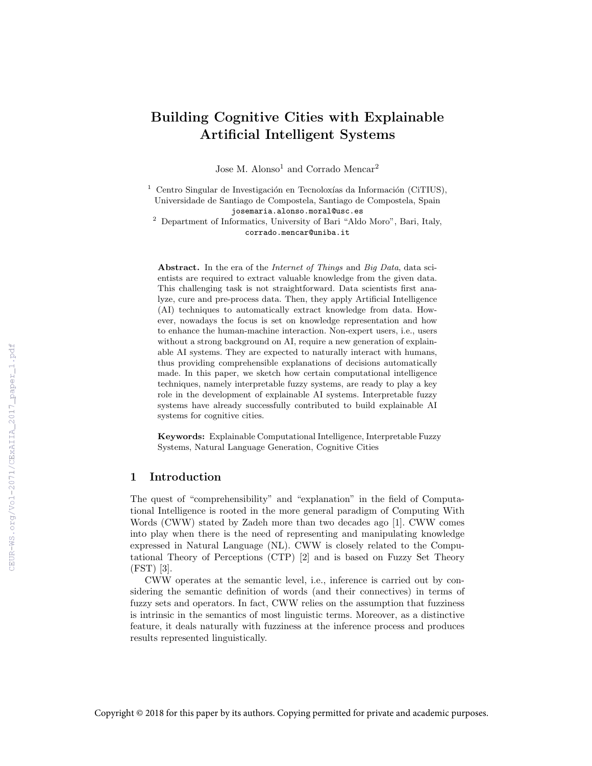# Building Cognitive Cities with Explainable Artificial Intelligent Systems

Jose M. Alonso<sup>1</sup> and Corrado Mencar<sup>2</sup>

<sup>1</sup> Centro Singular de Investigación en Tecnoloxías da Información (CiTIUS), Universidade de Santiago de Compostela, Santiago de Compostela, Spain josemaria.alonso.moral@usc.es

<sup>2</sup> Department of Informatics, University of Bari "Aldo Moro", Bari, Italy, corrado.mencar@uniba.it

Abstract. In the era of the *Internet of Things* and *Big Data*, data scientists are required to extract valuable knowledge from the given data. This challenging task is not straightforward. Data scientists first analyze, cure and pre-process data. Then, they apply Artificial Intelligence (AI) techniques to automatically extract knowledge from data. However, nowadays the focus is set on knowledge representation and how to enhance the human-machine interaction. Non-expert users, i.e., users without a strong background on AI, require a new generation of explainable AI systems. They are expected to naturally interact with humans, thus providing comprehensible explanations of decisions automatically made. In this paper, we sketch how certain computational intelligence techniques, namely interpretable fuzzy systems, are ready to play a key role in the development of explainable AI systems. Interpretable fuzzy systems have already successfully contributed to build explainable AI systems for cognitive cities.

Keywords: Explainable Computational Intelligence, Interpretable Fuzzy Systems, Natural Language Generation, Cognitive Cities

#### 1 Introduction

The quest of "comprehensibility" and "explanation" in the field of Computational Intelligence is rooted in the more general paradigm of Computing With Words (CWW) stated by Zadeh more than two decades ago [1]. CWW comes into play when there is the need of representing and manipulating knowledge expressed in Natural Language (NL). CWW is closely related to the Computational Theory of Perceptions (CTP) [2] and is based on Fuzzy Set Theory (FST) [3].

CWW operates at the semantic level, i.e., inference is carried out by considering the semantic definition of words (and their connectives) in terms of fuzzy sets and operators. In fact, CWW relies on the assumption that fuzziness is intrinsic in the semantics of most linguistic terms. Moreover, as a distinctive feature, it deals naturally with fuzziness at the inference process and produces results represented linguistically.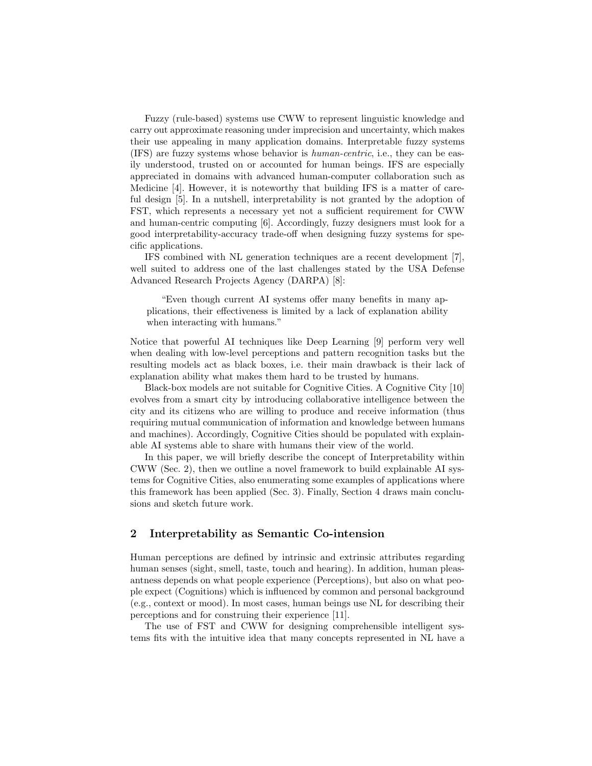Fuzzy (rule-based) systems use CWW to represent linguistic knowledge and carry out approximate reasoning under imprecision and uncertainty, which makes their use appealing in many application domains. Interpretable fuzzy systems (IFS) are fuzzy systems whose behavior is human-centric, i.e., they can be easily understood, trusted on or accounted for human beings. IFS are especially appreciated in domains with advanced human-computer collaboration such as Medicine [4]. However, it is noteworthy that building IFS is a matter of careful design [5]. In a nutshell, interpretability is not granted by the adoption of FST, which represents a necessary yet not a sufficient requirement for CWW and human-centric computing [6]. Accordingly, fuzzy designers must look for a good interpretability-accuracy trade-off when designing fuzzy systems for specific applications.

IFS combined with NL generation techniques are a recent development [7], well suited to address one of the last challenges stated by the USA Defense Advanced Research Projects Agency (DARPA) [8]:

"Even though current AI systems offer many benefits in many applications, their effectiveness is limited by a lack of explanation ability when interacting with humans."

Notice that powerful AI techniques like Deep Learning [9] perform very well when dealing with low-level perceptions and pattern recognition tasks but the resulting models act as black boxes, i.e. their main drawback is their lack of explanation ability what makes them hard to be trusted by humans.

Black-box models are not suitable for Cognitive Cities. A Cognitive City [10] evolves from a smart city by introducing collaborative intelligence between the city and its citizens who are willing to produce and receive information (thus requiring mutual communication of information and knowledge between humans and machines). Accordingly, Cognitive Cities should be populated with explainable AI systems able to share with humans their view of the world.

In this paper, we will briefly describe the concept of Interpretability within CWW (Sec. 2), then we outline a novel framework to build explainable AI systems for Cognitive Cities, also enumerating some examples of applications where this framework has been applied (Sec. 3). Finally, Section 4 draws main conclusions and sketch future work.

## 2 Interpretability as Semantic Co-intension

Human perceptions are defined by intrinsic and extrinsic attributes regarding human senses (sight, smell, taste, touch and hearing). In addition, human pleasantness depends on what people experience (Perceptions), but also on what people expect (Cognitions) which is influenced by common and personal background (e.g., context or mood). In most cases, human beings use NL for describing their perceptions and for construing their experience [11].

The use of FST and CWW for designing comprehensible intelligent systems fits with the intuitive idea that many concepts represented in NL have a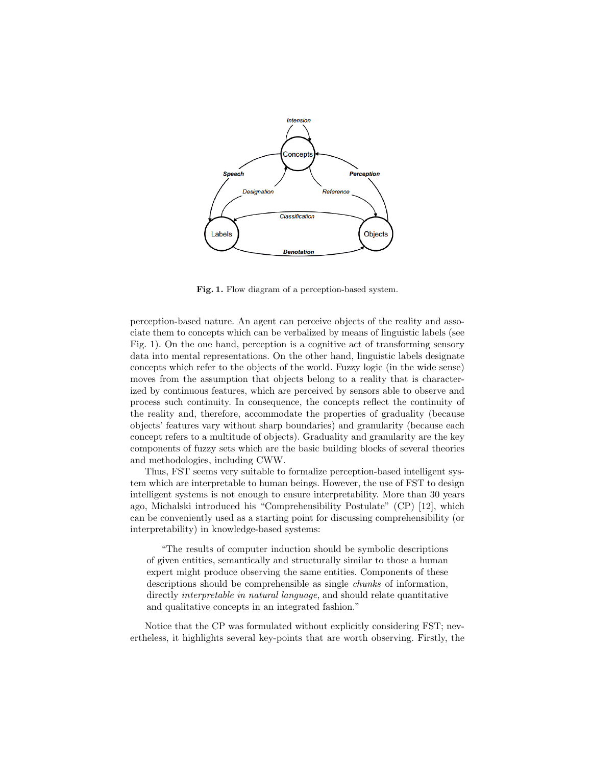

Fig. 1. Flow diagram of a perception-based system.

perception-based nature. An agent can perceive objects of the reality and associate them to concepts which can be verbalized by means of linguistic labels (see Fig. 1). On the one hand, perception is a cognitive act of transforming sensory data into mental representations. On the other hand, linguistic labels designate concepts which refer to the objects of the world. Fuzzy logic (in the wide sense) moves from the assumption that objects belong to a reality that is characterized by continuous features, which are perceived by sensors able to observe and process such continuity. In consequence, the concepts reflect the continuity of the reality and, therefore, accommodate the properties of graduality (because objects' features vary without sharp boundaries) and granularity (because each concept refers to a multitude of objects). Graduality and granularity are the key components of fuzzy sets which are the basic building blocks of several theories and methodologies, including CWW.

Thus, FST seems very suitable to formalize perception-based intelligent system which are interpretable to human beings. However, the use of FST to design intelligent systems is not enough to ensure interpretability. More than 30 years ago, Michalski introduced his "Comprehensibility Postulate" (CP) [12], which can be conveniently used as a starting point for discussing comprehensibility (or interpretability) in knowledge-based systems:

"The results of computer induction should be symbolic descriptions of given entities, semantically and structurally similar to those a human expert might produce observing the same entities. Components of these descriptions should be comprehensible as single chunks of information, directly *interpretable in natural language*, and should relate quantitative and qualitative concepts in an integrated fashion."

Notice that the CP was formulated without explicitly considering FST; nevertheless, it highlights several key-points that are worth observing. Firstly, the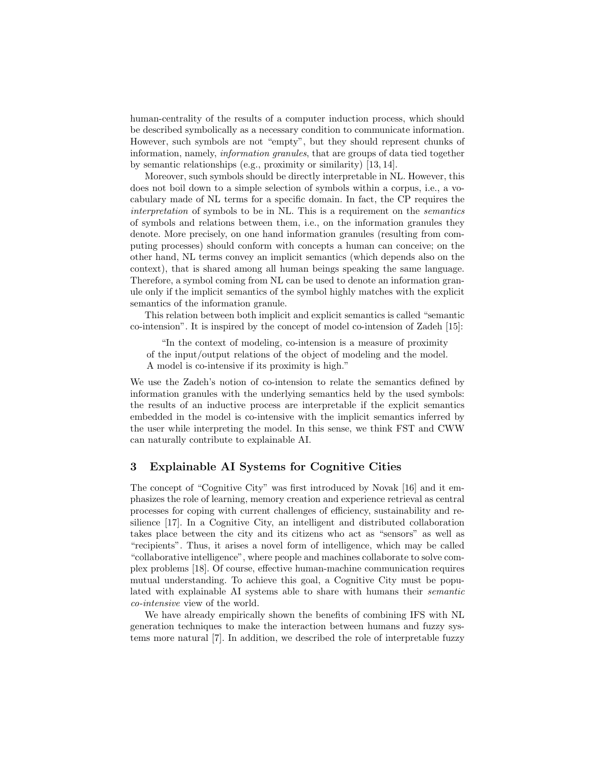human-centrality of the results of a computer induction process, which should be described symbolically as a necessary condition to communicate information. However, such symbols are not "empty", but they should represent chunks of information, namely, information granules, that are groups of data tied together by semantic relationships (e.g., proximity or similarity) [13, 14].

Moreover, such symbols should be directly interpretable in NL. However, this does not boil down to a simple selection of symbols within a corpus, i.e., a vocabulary made of NL terms for a specific domain. In fact, the CP requires the interpretation of symbols to be in NL. This is a requirement on the semantics of symbols and relations between them, i.e., on the information granules they denote. More precisely, on one hand information granules (resulting from computing processes) should conform with concepts a human can conceive; on the other hand, NL terms convey an implicit semantics (which depends also on the context), that is shared among all human beings speaking the same language. Therefore, a symbol coming from NL can be used to denote an information granule only if the implicit semantics of the symbol highly matches with the explicit semantics of the information granule.

This relation between both implicit and explicit semantics is called "semantic co-intension". It is inspired by the concept of model co-intension of Zadeh [15]:

"In the context of modeling, co-intension is a measure of proximity of the input/output relations of the object of modeling and the model. A model is co-intensive if its proximity is high."

We use the Zadeh's notion of co-intension to relate the semantics defined by information granules with the underlying semantics held by the used symbols: the results of an inductive process are interpretable if the explicit semantics embedded in the model is co-intensive with the implicit semantics inferred by the user while interpreting the model. In this sense, we think FST and CWW can naturally contribute to explainable AI.

#### 3 Explainable AI Systems for Cognitive Cities

The concept of "Cognitive City" was first introduced by Novak [16] and it emphasizes the role of learning, memory creation and experience retrieval as central processes for coping with current challenges of efficiency, sustainability and resilience [17]. In a Cognitive City, an intelligent and distributed collaboration takes place between the city and its citizens who act as "sensors" as well as "recipients". Thus, it arises a novel form of intelligence, which may be called "collaborative intelligence", where people and machines collaborate to solve complex problems [18]. Of course, effective human-machine communication requires mutual understanding. To achieve this goal, a Cognitive City must be populated with explainable AI systems able to share with humans their semantic co-intensive view of the world.

We have already empirically shown the benefits of combining IFS with NL generation techniques to make the interaction between humans and fuzzy systems more natural [7]. In addition, we described the role of interpretable fuzzy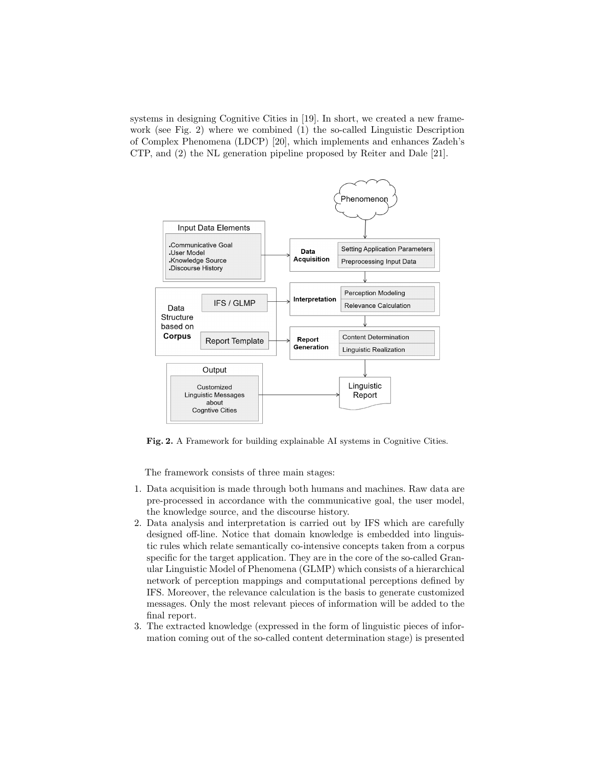systems in designing Cognitive Cities in [19]. In short, we created a new framework (see Fig. 2) where we combined (1) the so-called Linguistic Description of Complex Phenomena (LDCP) [20], which implements and enhances Zadeh's CTP, and (2) the NL generation pipeline proposed by Reiter and Dale [21].



Fig. 2. A Framework for building explainable AI systems in Cognitive Cities.

The framework consists of three main stages:

- 1. Data acquisition is made through both humans and machines. Raw data are pre-processed in accordance with the communicative goal, the user model, the knowledge source, and the discourse history.
- 2. Data analysis and interpretation is carried out by IFS which are carefully designed off-line. Notice that domain knowledge is embedded into linguistic rules which relate semantically co-intensive concepts taken from a corpus specific for the target application. They are in the core of the so-called Granular Linguistic Model of Phenomena (GLMP) which consists of a hierarchical network of perception mappings and computational perceptions defined by IFS. Moreover, the relevance calculation is the basis to generate customized messages. Only the most relevant pieces of information will be added to the final report.
- 3. The extracted knowledge (expressed in the form of linguistic pieces of information coming out of the so-called content determination stage) is presented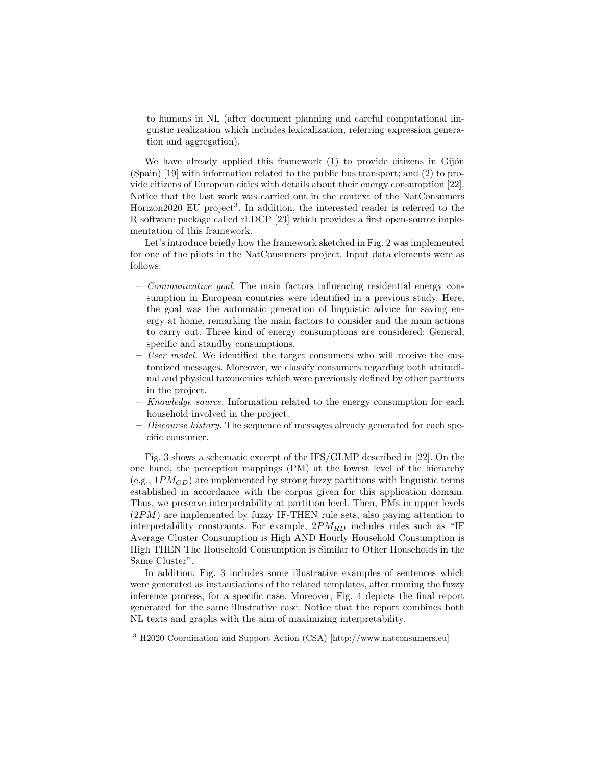to humans in NL (after document planning and careful computational linguistic realization which includes lexicalization, referring expression generation and aggregation).

We have already applied this framework  $(1)$  to provide citizens in Gijón (Spain) [19] with information related to the public bus transport; and (2) to provide citizens of European cities with details about their energy consumption [22]. Notice that the last work was carried out in the context of the NatConsumers Horizon2020 EU project<sup>3</sup>. In addition, the interested reader is referred to the R software package called rLDCP [23] which provides a first open-source implementation of this framework.

Let's introduce briefly how the framework sketched in Fig. 2 was implemented for one of the pilots in the NatConsumers project. Input data elements were as follows:

- Communicative goal. The main factors influencing residential energy consumption in European countries were identified in a previous study. Here, the goal was the automatic generation of linguistic advice for saving energy at home, remarking the main factors to consider and the main actions to carry out. Three kind of energy consumptions are considered: General, specific and standby consumptions.
- User model. We identified the target consumers who will receive the customized messages. Moreover, we classify consumers regarding both attitudinal and physical taxonomies which were previously defined by other partners in the project.
- Knowledge source. Information related to the energy consumption for each household involved in the project.
- Discourse history. The sequence of messages already generated for each specific consumer.

Fig. 3 shows a schematic excerpt of the IFS/GLMP described in [22]. On the one hand, the perception mappings (PM) at the lowest level of the hierarchy (e.g.,  $1PM_{CD}$ ) are implemented by strong fuzzy partitions with linguistic terms established in accordance with the corpus given for this application domain. Thus, we preserve interpretability at partition level. Then, PMs in upper levels  $(2PM)$  are implemented by fuzzy IF-THEN rule sets, also paying attention to interpretability constraints. For example,  $2PM_{RD}$  includes rules such as "IF Average Cluster Consumption is High AND Hourly Household Consumption is High THEN The Household Consumption is Similar to Other Households in the Same Cluster".

In addition, Fig. 3 includes some illustrative examples of sentences which were generated as instantiations of the related templates, after running the fuzzy inference process, for a specific case. Moreover, Fig. 4 depicts the final report generated for the same illustrative case. Notice that the report combines both NL texts and graphs with the aim of maximizing interpretability.

<sup>3</sup> H2020 Coordination and Support Action (CSA) [http://www.natconsumers.eu]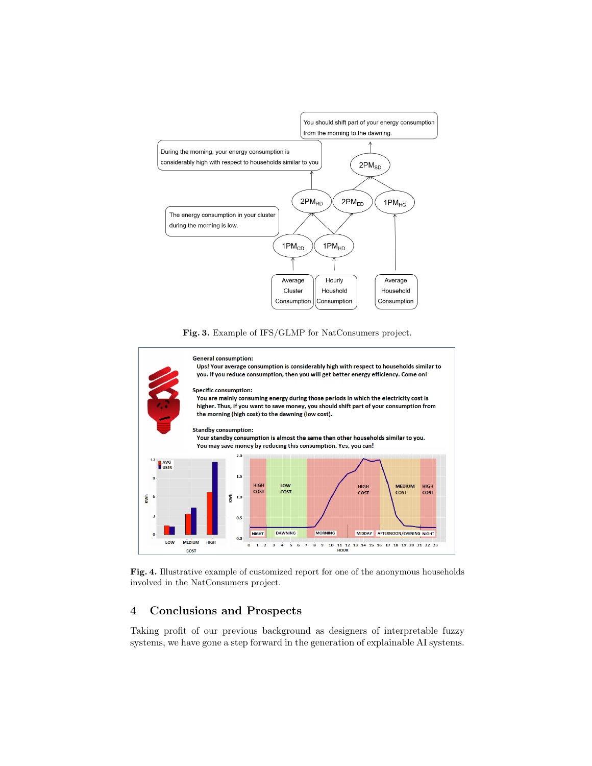





Fig. 4. Illustrative example of customized report for one of the anonymous households involved in the NatConsumers project.

## 4 Conclusions and Prospects

Taking profit of our previous background as designers of interpretable fuzzy systems, we have gone a step forward in the generation of explainable AI systems.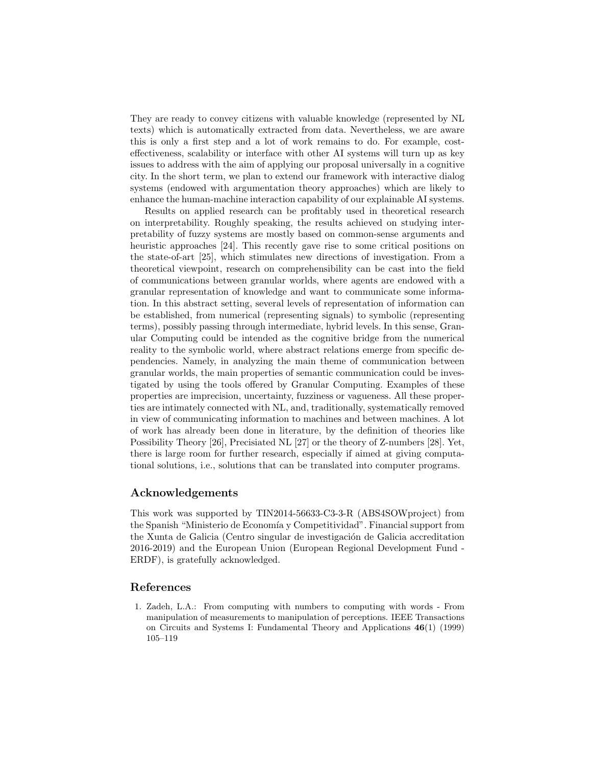They are ready to convey citizens with valuable knowledge (represented by NL texts) which is automatically extracted from data. Nevertheless, we are aware this is only a first step and a lot of work remains to do. For example, costeffectiveness, scalability or interface with other AI systems will turn up as key issues to address with the aim of applying our proposal universally in a cognitive city. In the short term, we plan to extend our framework with interactive dialog systems (endowed with argumentation theory approaches) which are likely to enhance the human-machine interaction capability of our explainable AI systems.

Results on applied research can be profitably used in theoretical research on interpretability. Roughly speaking, the results achieved on studying interpretability of fuzzy systems are mostly based on common-sense arguments and heuristic approaches [24]. This recently gave rise to some critical positions on the state-of-art [25], which stimulates new directions of investigation. From a theoretical viewpoint, research on comprehensibility can be cast into the field of communications between granular worlds, where agents are endowed with a granular representation of knowledge and want to communicate some information. In this abstract setting, several levels of representation of information can be established, from numerical (representing signals) to symbolic (representing terms), possibly passing through intermediate, hybrid levels. In this sense, Granular Computing could be intended as the cognitive bridge from the numerical reality to the symbolic world, where abstract relations emerge from specific dependencies. Namely, in analyzing the main theme of communication between granular worlds, the main properties of semantic communication could be investigated by using the tools offered by Granular Computing. Examples of these properties are imprecision, uncertainty, fuzziness or vagueness. All these properties are intimately connected with NL, and, traditionally, systematically removed in view of communicating information to machines and between machines. A lot of work has already been done in literature, by the definition of theories like Possibility Theory [26], Precisiated NL [27] or the theory of Z-numbers [28]. Yet, there is large room for further research, especially if aimed at giving computational solutions, i.e., solutions that can be translated into computer programs.

## Acknowledgements

This work was supported by TIN2014-56633-C3-3-R (ABS4SOWproject) from the Spanish "Ministerio de Economía y Competitividad". Financial support from the Xunta de Galicia (Centro singular de investigación de Galicia accreditation 2016-2019) and the European Union (European Regional Development Fund - ERDF), is gratefully acknowledged.

#### References

1. Zadeh, L.A.: From computing with numbers to computing with words - From manipulation of measurements to manipulation of perceptions. IEEE Transactions on Circuits and Systems I: Fundamental Theory and Applications 46(1) (1999) 105–119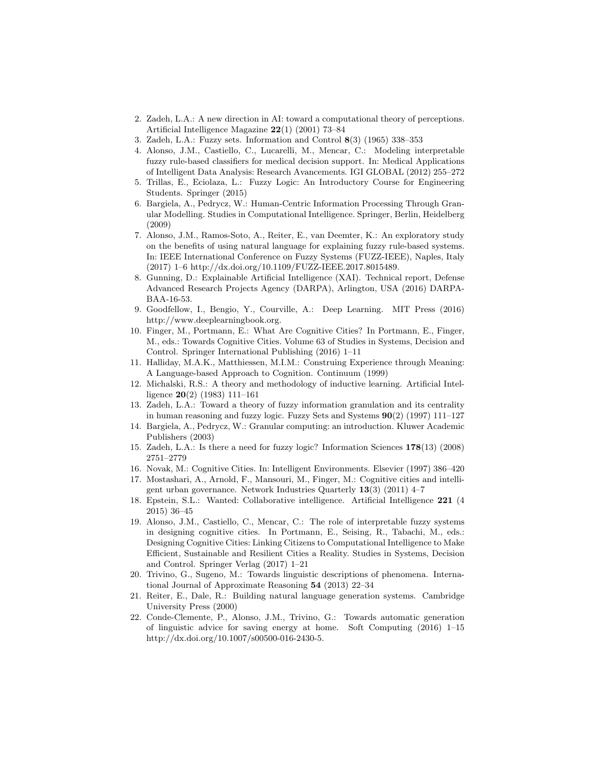- 2. Zadeh, L.A.: A new direction in AI: toward a computational theory of perceptions. Artificial Intelligence Magazine 22(1) (2001) 73–84
- 3. Zadeh, L.A.: Fuzzy sets. Information and Control 8(3) (1965) 338–353
- 4. Alonso, J.M., Castiello, C., Lucarelli, M., Mencar, C.: Modeling interpretable fuzzy rule-based classifiers for medical decision support. In: Medical Applications of Intelligent Data Analysis: Research Avancements. IGI GLOBAL (2012) 255–272
- 5. Trillas, E., Eciolaza, L.: Fuzzy Logic: An Introductory Course for Engineering Students. Springer (2015)
- 6. Bargiela, A., Pedrycz, W.: Human-Centric Information Processing Through Granular Modelling. Studies in Computational Intelligence. Springer, Berlin, Heidelberg (2009)
- 7. Alonso, J.M., Ramos-Soto, A., Reiter, E., van Deemter, K.: An exploratory study on the benefits of using natural language for explaining fuzzy rule-based systems. In: IEEE International Conference on Fuzzy Systems (FUZZ-IEEE), Naples, Italy (2017) 1–6 http://dx.doi.org/10.1109/FUZZ-IEEE.2017.8015489.
- 8. Gunning, D.: Explainable Artificial Intelligence (XAI). Technical report, Defense Advanced Research Projects Agency (DARPA), Arlington, USA (2016) DARPA-BAA-16-53.
- 9. Goodfellow, I., Bengio, Y., Courville, A.: Deep Learning. MIT Press (2016) http://www.deeplearningbook.org.
- 10. Finger, M., Portmann, E.: What Are Cognitive Cities? In Portmann, E., Finger, M., eds.: Towards Cognitive Cities. Volume 63 of Studies in Systems, Decision and Control. Springer International Publishing (2016) 1–11
- 11. Halliday, M.A.K., Matthiessen, M.I.M.: Construing Experience through Meaning: A Language-based Approach to Cognition. Continuum (1999)
- 12. Michalski, R.S.: A theory and methodology of inductive learning. Artificial Intelligence 20(2) (1983) 111–161
- 13. Zadeh, L.A.: Toward a theory of fuzzy information granulation and its centrality in human reasoning and fuzzy logic. Fuzzy Sets and Systems  $90(2)$  (1997) 111–127
- 14. Bargiela, A., Pedrycz, W.: Granular computing: an introduction. Kluwer Academic Publishers (2003)
- 15. Zadeh, L.A.: Is there a need for fuzzy logic? Information Sciences 178(13) (2008) 2751–2779
- 16. Novak, M.: Cognitive Cities. In: Intelligent Environments. Elsevier (1997) 386–420
- 17. Mostashari, A., Arnold, F., Mansouri, M., Finger, M.: Cognitive cities and intelligent urban governance. Network Industries Quarterly 13(3) (2011) 4–7
- 18. Epstein, S.L.: Wanted: Collaborative intelligence. Artificial Intelligence 221 (4 2015) 36–45
- 19. Alonso, J.M., Castiello, C., Mencar, C.: The role of interpretable fuzzy systems in designing cognitive cities. In Portmann, E., Seising, R., Tabachi, M., eds.: Designing Cognitive Cities: Linking Citizens to Computational Intelligence to Make Efficient, Sustainable and Resilient Cities a Reality. Studies in Systems, Decision and Control. Springer Verlag (2017) 1–21
- 20. Trivino, G., Sugeno, M.: Towards linguistic descriptions of phenomena. International Journal of Approximate Reasoning 54 (2013) 22–34
- 21. Reiter, E., Dale, R.: Building natural language generation systems. Cambridge University Press (2000)
- 22. Conde-Clemente, P., Alonso, J.M., Trivino, G.: Towards automatic generation of linguistic advice for saving energy at home. Soft Computing (2016) 1–15 http://dx.doi.org/10.1007/s00500-016-2430-5.